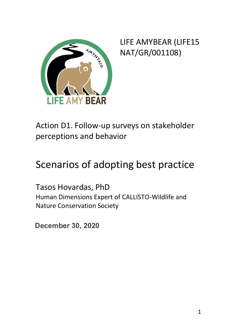

LIFE AMYBEAR (LIFE15 NAT/GR/001108)

Action D1. Follow-up surveys on stakeholder perceptions and behavior

# Scenarios of adopting best practice

Tasos Hovardas, PhD Human Dimensions Expert of CALLISTO-Wildlife and Nature Conservation Society

December 30, 2012 **December 30, 2020**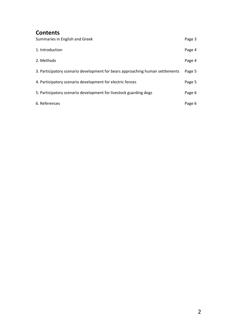#### **Contents**

| Summaries in English and Greek                                                | Page 3 |
|-------------------------------------------------------------------------------|--------|
| 1. Introduction                                                               | Page 4 |
| 2. Methods                                                                    | Page 4 |
| 3. Participatory scenario development for bears approaching human settlements | Page 5 |
| 4. Participatory scenario development for electric fences                     | Page 5 |
| 5. Participatory scenario development for livestock guarding dogs             | Page 6 |
| 6. References                                                                 | Page 6 |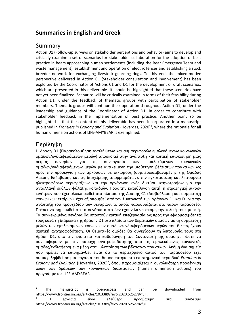#### **Summaries in English and Greek**

#### Summary

Action D1 (Follow-up surveys on stakeholder perceptions and behavior) aims to develop and critically examine a set of scenarios for stakeholder collaboration for the adoption of best practice in bears approaching human settlements (including the Bear Emergency Team and waste management), establishment and operation of electric fences and establishing a stock breeder network for exchanging livestock guarding dogs. To this end, the mixed-motive perspective delivered in Action C1 (Stakeholder consultation and involvement) has been exploited by the Coordinator of Actions C1 and D1 for the development of draft scenarios, which are presented in this deliverable. It should be highlighted that these scenarios have not yet been finalized. Scenarios will be critically examined in terms of their feasibility during Action D1, under the feedback of thematic groups with participation of stakeholder members. Thematic groups will continue their operation throughout Action D1, under the leadership and guidance of the Coordinator of Action D1, in order to contribute with stakeholder feedback in the implementation of best practice. Another point το be highlighted is that the content of this deliverable has been incorporated in a manuscript published in *Frontiers in Ecology and Evolution* (Hovardas, 2020)<sup>1</sup>, where the rationale for all human dimension actions of LIFE-AMYBEAR is exemplified.

#### Περίληψη

-

Η Δράση D1 (Παρακολούθηση αντιλήψεων και συμπεριφορών εμπλεκόμενων κοινωνικών ομάδων/ενδιαφερόμενων μερών) αποσκοπεί στην ανάπτυξη και κριτική επισκόπηση μιας σειράς σεναρίων για τη συνεργασία των εμπλεκόμενων κοινωνικών ομάδων/ενδιαφερόμενων μερών με αντικείμενο την υιοθέτηση βέλτιστων πρακτικών ως προς την προσέγγιση των αρκούδων σε οικισμούς (συμπεριλαμβανομένης της Ομάδας Άμεσης Επέμβασης και τις διαχείρισης απορριμμάτων), την εγκατάσταση και λειτουργία ηλεκτροφόρων περιφράξεων και την οργάνωση ενός δικτύου κτηνοτρόφων για την ανταλλαγή σκύλων φύλαξης κοπαδιών. Προς την κατεύθυνση αυτή, η στρατηγική μικτών κινήτρων που έχει ολοκληρωθεί στο πλαίσιο της Δράσης C1 (Διαβούλευση και συμμετοχή κοινωνικών εταίρων), έχει αξιοποιηθεί από τον Συντονιστή των Δράσεων C1 και D1 για την ανάπτυξη του προσχεδίου των σεναρίων, το οποίο παρουσιάζεται στο παρόν παραδοτέο. Πρέπει να σημειωθεί ότι τα σενάρια αυτά δεν έχουν λάβει ακόμη την τελική τους μορφή. Τα συγκεκριμένα σενάρια θα υποστούν κριτική επεξεργασία ως προς την εφαρμοσιμότητά τους κατά τη διάρκεια της Δράσης D1 στο πλαίσιο των θεματικών ομάδων με τη συμμετοχή μελών των εμπλεκόμενων κοινωνικών ομάδων/ενδιαφερόμενων μερών που θα παρέχουν σχετική ανατροφοδότηση. Οι θεματικές ομάδες θα συνεχίσουν τη λειτουργία τους στη Δράση D1, υπό την εποπτεία και καθοδόγηση του Συντονιστή της δράσης, ώστε να συνεισφέρουν με την παροχή ανατροφοδότησης από τις εμπλεκόμενες κοινωνικές ομάδες/ενδιαφερόμενα μέρη στην υλοποίηση των βέλτιστων πρακτικών. Ακόμη ένα σημείο που πρέπει να επισημανθεί είναι ότι το περιεχόμενο αυτού του παραδοτέου έχει συμπεριληφθεί σε μια εργασία που δημοσιεύτηκε στο επιστημονικό περιοδικό *Frontiers in Ecology and Evolution* (Hovardas, 2020) 2 , όπου παρουσιάζεται η συνολικότερη προσέγγιση όλων των δράσεων των κοινωνικών διαστάσεων (human dimension actions) του προγράμματος LIFE-AMYBEAR.

<sup>&</sup>lt;sup>1</sup> The manuscript is open-access and can be downloaded from https://www.frontiersin.org/articles/10.3389/fevo.2020.525278/full.

<sup>2</sup> Η εργασία είναι ελεύθερα προσβάσιμη στον σύνδεσμο https://www.frontiersin.org/articles/10.3389/fevo.2020.525278/full.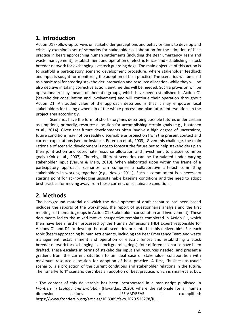## **1. Introduction**

Action D1 (Follow-up surveys on stakeholder perceptions and behavior) aims to develop and critically examine a set of scenarios for stakeholder collaboration for the adoption of best practice in bears approaching human settlements (including the Bear Emergency Team and waste management), establishment and operation of electric fences and establishing a stock breeder network for exchanging livestock guarding dogs. The main objective of this action is to scaffold a participatory scenario development procedure, where stakeholder feedback and input is sought for monitoring the adoption of best practice. The scenarios will be used as a basic tool for steering stakeholder interaction and resource allocation, while they will be also decisive in taking corrective action, anytime this will be needed. Such a provision will be operationalized by means of thematic groups, which have been established in Action C1 (Stakeholder consultation and involvement) and will continue their operation throughout Action D1. An added value of the approach described is that it may empower local stakeholders for taking ownership of the whole process and plan future interventions in the project area accordingly.

Scenarios have the form of short storylines describing possible futures under certain assumptions, primarily, resource allocation for accomplishing certain goals (e.g., Haatanen et al., 2014). Given that future developments often involve a high degree of uncertainty, future conditions may not be readily discernable as projection from the present context and current expectations (see for instance, Peterson et al., 2003). Given this challenge, the main rationale of scenario development is not to forecast the future but to help stakeholders plan their joint action and coordinate resource allocation and investment to pursue common goals (Kok et al., 2007). Thereby, different scenarios can be formulated under varying stakeholder input (Varum & Melo, 2010). When elaborated upon within the frame of a participatory approach, scenarios can comprise a collaborative artefact committing stakeholders in working together (e.g., Newig, 2011). Such a commitment is a necessary starting point for acknowledging unsustainable baseline conditions and the need to adopt best practice for moving away from these current, unsustainable conditions.

#### **2. Methods**

1

The background material on which the development of draft scenarios has been based includes the reports of the workshops, the report of questionnaire analysis and the first meetings of thematic groups in Action C1 (Stakeholder consultation and involvement). These documents led to the mixed-motive perspective templates completed in Action C1, which then have been further processed by the Human Dimensions (HD) Expert responsible for Actions C1 and D1 to develop the draft scenarios presented in this deliverable<sup>3</sup>. For each topic (bears approaching human settlements, including the Bear Emergency Team and waste management, establishment and operation of electric fences and establishing a stock breeder network for exchanging livestock guarding dogs), four different scenarios have been drafted. These escalate in terms of stakeholder input and resources needed, and present a gradient from the current situation to an ideal case of stakeholder collaboration with maximum resource allocation for adoption of best practice. A first, "business-as-usual" scenario, is a projection of the current conditions and stakeholder relations in the future. The "small-effort" scenario describes an adoption of best practice, which is small-scale, but,

<sup>&</sup>lt;sup>3</sup> The content of this deliverable has been incorporated in a manuscript published in *Frontiers in Ecology and Evolution* (Hovardas, 2020), where the rationale for all human dimension actions of LIFE-AMYBEAR is exemplified: https://www.frontiersin.org/articles/10.3389/fevo.2020.525278/full.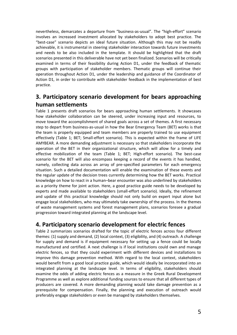nevertheless, demarcates a departure from "business-as-usual". The "high-effort" scenario involves an increased investment allocated by stakeholders to adopt best practice. The "best-case" scenario depicts an ideal future situation. Although this may not be readily achievable, it is instrumental in steering stakeholder interaction towards future investments and needs to be also included in the template. It should be highlighted that the draft scenarios presented in this deliverable have not yet been finalized. Scenarios will be critically examined in terms of their feasibility during Action D1, under the feedback of thematic groups with participation of stakeholder members. Thematic groups will continue their operation throughout Action D1, under the leadership and guidance of the Coordinator of Action D1, in order to contribute with stakeholder feedback in the implementation of best practice.

### **3. Participatory scenario development for bears approaching human settlements**

Table 1 presents draft scenarios for bears approaching human settlements. It showcases how stakeholder collaboration can be steered, under increasing input and resources, to move toward the accomplishment of shared goals across a set of themes. A first necessary step to depart from business-as-usual in how the Bear Emergency Team (BET) works is that the team is properly equipped and team members are properly trained to use equipment effectively (Table 1; BET; Small-effort scenario). This is expected within the frame of LIFE AMYBEAR. A more demanding adjustment is necessary so that stakeholders incorporate the operation of the BET in their organizational structure, which will allow for a timely and effective mobilization of the team (Table 1; BET; High-effort scenario). The best-case scenario for the BET will also encompass keeping a record of the events it has handled, namely, collecting data across an array of pre-specified parameters for each emergency situation. Such a detailed documentation will enable the examination of these events and the regular update of the decision trees currently determining how the BET works. Practical knowledge on how to react in a human–bear encounter was also underlined by stakeholders as a priority theme for joint action. Here, a good practice guide needs to be developed by experts and made available to stakeholders (small-effort scenario). Ideally, the refinement and update of this practical knowledge should not only build on expert input alone but engage local stakeholders, who may ultimately take ownership of the process. In the themes of waste management systems and forest management plans, scenarios foresee a gradual progression toward integrated planning at the landscape level.

#### **4. Participatory scenario development for electric fences**

Table 2 summarizes scenarios drafted for the topic of electric fences across four different themes: (1) supply and demand, (2) local context, (3) eligibility, and (4) outreach. A challenge for supply and demand is if equipment necessary for setting up a fence could be locally manufactured and certified. A next challenge is if local institutions could own and manage electric fences, so that they could experiment with different devices and installations to improve this damage prevention method. With regard to the local context, stakeholders would benefit from a good local practice guide, which would ideally be incorporated into an integrated planning at the landscape level. In terms of eligibility, stakeholders should examine the odds of adding electric fences as a measure in the Greek Rural Development Programme as well as explore additional funding sources to ensure that all different types of producers are covered. A more demanding planning would take damage prevention as a prerequisite for compensation. Finally, the planning and execution of outreach would preferably engage stakeholders or even be managed by stakeholders themselves.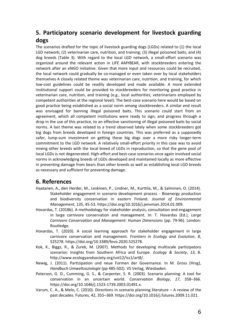#### **5. Participatory scenario development for livestock guarding dogs**

The scenarios drafted for the topic of livestock guarding dogs (LGDs) related to (1) the local LGD network; (2) veterinarian care, nutrition, and training; (3) illegal poisoned baits; and (4) dog breeds (Table 3). With regard to the local LGD network, a small-effort scenario was organized around the relevant action in LIFE AMYBEAR, with stockbreeders entering the network after an eNGO initiative. Given that more input and resources could be recruited, the local network could gradually be co-managed or even taken over by local stakeholders themselves A closely related theme was veterinarian care, nutrition, and training, for which low-cost guidelines could be readily developed and made available. A more extended institutional support could be provided to stockbreeders for monitoring good practice in veterinarian care, nutrition, and training (e.g., local authorities, veterinarians employed by competent authorities at the regional level). The best-case scenario here would be based on good practice being established as a social norm among stockbreeders. A similar end result was envisaged for banning illegal poisoned baits. This scenario could start from an agreement, which all competent institutions were ready to sign, and progress through a drop in the use of this practice, to an effective sanctioning of illegal poisoned baits by social norms. A last theme was related to a trend observed lately when some stockbreeders got big dogs from breeds developed in foreign countries. This was preferred as a supposedly safer, lump-sum investment on getting these big dogs over a more risky longer-term commitment to the LGD network. A relatively small-effort priority in this case was to avoid mixing other breeds with the local breed of LGDs in reproduction, so that the gene pool of local LGDs is not degenerated. High-effort and best-case scenarios once again involved social norms in acknowledging breeds of LGDs developed and maintained locally as more effective in preventing damage from bears than other breeds as well as establishing local LGD breeds as necessary and sufficient for preventing damage.

#### **6. References**

- Haatanen, A., den Herder, M., Leskinen, P., Lindner, M., Kurttila, M., & Salminen, O. (2014). Stakeholder engagement in scenario development process - Bioenergy production and biodiversity conservation in eastern Finland. *Journal of Environmental Management*, *135*, 45-53. https://doi.org/10.1016/j.jenvman.2014.01.009.
- Hovardas, T. (2018b). A methodology for stakeholder analysis, consultation and engagement in large carnivore conservation and management. In: T. Hovardas (Ed.), *Large Carnivore Conservation and Management: Human Dimensions* (pp. 79-96). London: Routledge.
- Hovardas, T. (2020). A social learning approach for stakeholder engagement in large carnivore conservation and management. *Frontiers in Ecology and Evolution*, *8*, 525278. [https://doi.org/10.3389/fevo.2020.525278.](https://doi.org/10.3389/fevo.2020.525278)
- Kok, K., Biggs, R., & Zurek, M. (2007). Methods for developing multiscale participatory scenarios: Insights from Southern Africa and Europe. *Ecology & Society*, *13*, 8. http://www.ecologyandsociety.org/vol12/iss1/art8/.
- Newig, J. (2011). Partizipation und neue Formen der Governance. In M. Gross (Hrsg), *Handbuch Umweltsoziologie* (pp 485-502). VS Verlag, Wiesbaden.
- Peterson, G. D., Cumming, G. S., & Carpenter, S. R. (2003). Scenario planning: A tool for conservation in an uncertain world. *Conservation Biology*, *17*, 358–366. https://doi.org/10.1046/j.1523-1739.2003.01491.x.
- Varum, C. A., & Melo, C. (2010). Directions in scenario planning literature A review of the past decades. Futures, 42, 355–369. https://doi.org/10.1016/j.futures.2009.11.021.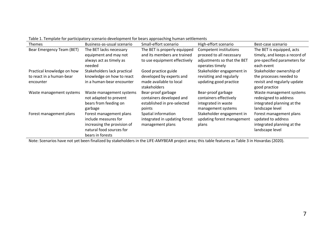Table 1. Template for participatory scenario development for bears approaching human settlements

| <b>Themes</b>              | Business-as-usual scenario                                                                                                     | Small-effort scenario                                                                   | High-effort scenario                                                                      | Best-case scenario                                                                                 |
|----------------------------|--------------------------------------------------------------------------------------------------------------------------------|-----------------------------------------------------------------------------------------|-------------------------------------------------------------------------------------------|----------------------------------------------------------------------------------------------------|
| Bear Emergency Team (BET)  | The BET lacks necessary                                                                                                        | The BET is properly equipped                                                            | Competent institutions<br>proceed to all necessary                                        | The BET is equipped, acts                                                                          |
|                            | equipment and may not<br>always act as timely as<br>needed                                                                     | and its members are trained<br>to use equipment effectively                             | adjustments so that the BET<br>operates timely                                            | timely, and keeps a record of<br>pre-specified parameters for<br>each event                        |
| Practical knowledge on how | Stakeholders lack practical                                                                                                    | Good practice guide                                                                     | Stakeholder engagement in                                                                 | Stakeholder ownership of                                                                           |
| to react in a human-bear   | knowledge on how to react                                                                                                      | developed by experts and                                                                | revisiting and regularly                                                                  | the processes needed to                                                                            |
| encounter                  | in a human-bear encounter                                                                                                      | made available to local<br><b>stakeholders</b>                                          | updating good practice                                                                    | revisit and regularly update<br>good practice                                                      |
| Waste management systems   | Waste management systems<br>not adapted to prevent<br>bears from feeding on<br>garbage                                         | Bear-proof garbage<br>containers developed and<br>established in pre-selected<br>points | Bear-proof garbage<br>containers effectively<br>integrated in waste<br>management systems | Waste management systems<br>redesigned to address<br>integrated planning at the<br>landscape level |
| Forest management plans    | Forest management plans<br>include measures for<br>increasing the provision of<br>natural food sources for<br>bears in forests | Spatial information<br>integrated in updating forest<br>management plans                | Stakeholder engagement in<br>updating forest management<br>plans                          | Forest management plans<br>updated to address<br>integrated planning at the<br>landscape level     |

Note: Scenarios have not yet been finalized by stakeholders in the LIFE-AMYBEAR project area; this table features as Table 3 in Hovardas (2020).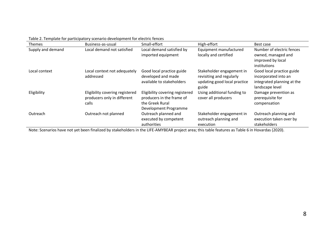Table 2. Template for participatory scenario development for electric fences

| <b>Themes</b>     | Business-as-usual                                                       | Small-effort                                                                                             | High-effort                                                                                    | Best case                                                                                          |
|-------------------|-------------------------------------------------------------------------|----------------------------------------------------------------------------------------------------------|------------------------------------------------------------------------------------------------|----------------------------------------------------------------------------------------------------|
| Supply and demand | Local demand not satisfied                                              | Local demand satisfied by<br>imported equipment                                                          | Equipment manufactured<br>locally and certified                                                | Number of electric fences<br>owned, managed and<br>improved by local<br>institutions               |
| Local context     | Local context not adequately<br>addressed                               | Good local practice guide<br>developed and made<br>available to stakeholders                             | Stakeholder engagement in<br>revisiting and regularly<br>updating good local practice<br>guide | Good local practice guide<br>incorporated into an<br>integrated planning at the<br>landscape level |
| Eligibility       | Eligibility covering registered<br>producers only in different<br>calls | Eligibility covering registered<br>producers in the frame of<br>the Greek Rural<br>Development Programme | Using additional funding to<br>cover all producers                                             | Damage prevention as<br>prerequisite for<br>compensation                                           |
| Outreach          | Outreach not planned                                                    | Outreach planned and<br>executed by competent<br>authorities                                             | Stakeholder engagement in<br>outreach planning and<br>execution                                | Outreach planning and<br>execution taken over by<br>stakeholders                                   |

Note: Scenarios have not yet been finalized by stakeholders in the LIFE-AMYBEAR project area; this table features as Table 6 in Hovardas (2020).